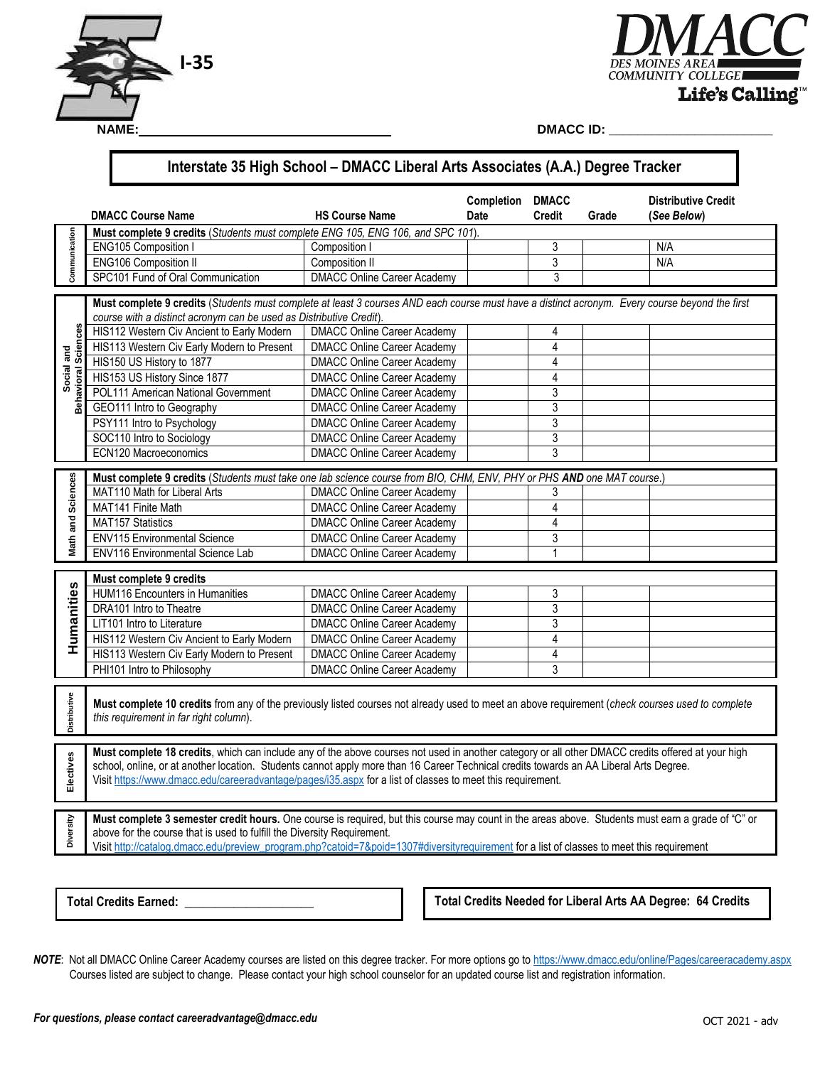



#### **Interstate 35 High School – DMACC Liberal Arts Associates (A.A.) Degree Tracker Completion DMACC Distributive Credit DMACC Course Name HS Course Name Date Credit Grade (***See Below***) Communication Must complete 9 credits** (*Students must complete ENG 105, ENG 106, and SPC 101*). Communication ENG105 Composition I Composition I Composition I 3 N/A ENG106 Composition II Composition II Composition II Composition II 3 N/A SPC101 Fund of Oral Communication | DMACC Online Career Academy | 3 **Must complete 9 credits** (*Students must complete at least 3 courses AND each course must have a distinct acronym. Every course beyond the first course with a distinct acronym can be used as Distributive Credit*). **Behavioral Sciences** ces HIS112 Western Civ Ancient to Early Modern | DMACC Online Career Academy | 4 Social and<br>navioral Scieno HIS113 Western Civ Early Modern to Present | DMACC Online Career Academy | 4 **Social and**  HIS150 US History to 1877 **DMACC Online Career Academy** 4 HIS153 US History Since 1877 | DMACC Online Career Academy | 4 POL111 American National Government DMACC Online Career Academy | 3 Beha GEO111 Intro to Geography **DMACC Online Career Academy** 3 PSY111 Intro to Psychology DMACC Online Career Academy | 3 SOC110 Intro to Sociology DMACC Online Career Academy 3 ECN120 Macroeconomics DMACC Online Career Academy 3 **Math and Sciences Must complete 9 credits** (*Students must take one lab science course from BIO, CHM, ENV, PHY or PHS AND one MAT course*.) and Sciences MAT110 Math for Liberal Arts **DMACC Online Career Academy** 3 MAT141 Finite Math **DIMACC Online Career Academy** | 4 MAT157 Statistics **DMACC Online Career Academy 1** 4 Math ENV115 Environmental Science | DMACC Online Career Academy | 3 ENV116 Environmental Science Lab DMACC Online Career Academy | 1 **Must complete 9 credits**  Ñ, **Humanities** anities HUM116 Encounters in Humanities **DMACC Online Career Academy** | 3 DRA101 Intro to Theatre **DMACC** Online Career Academy 3 LIT101 Intro to Literature DMACC Online Career Academy 3<br>
HIS112 Western Civ Ancient to Early Modern DMACC Online Career Academy 4 Hum<br>H HIS112 Western Civ Ancient to Early Modern | DMACC Online Career Academy | 4 HIS113 Western Civ Early Modern to Present DMACC Online Career Academy PHI101 Intro to Philosophy **DMACC Online Career Academy** 3 istributive **Distributive Must complete 10 credits** from any of the previously listed courses not already used to meet an above requirement (*check courses used to complete this requirement in far right column*). **Must complete 18 credits**, which can include any of the above courses not used in another category or all other DMACC credits offered at your high Electives **Electives** school, online, or at another location. Students cannot apply more than 16 Career Technical credits towards an AA Liberal Arts Degree. Visit [https://www.dmacc.edu/careeradvantage/pages/i35.aspx f](https://www.dmacc.edu/careeradvantage/pages/i35.aspx)or a list of classes to meet this requirement. **Must complete 3 semester credit hours.** One course is required, but this course may count in the areas above. Students must earn a grade of "C" or **Diversity**  above for the course that is used to fulfill the Diversity Requirement. Visit [http://catalog.dmacc.edu/preview\\_program.php?catoid=7&poid=1307#diversityrequirement](http://catalog.dmacc.edu/preview_program.php?catoid=7&poid=1307#diversityrequirement) for a list of classes to meet this requirement

**Total Credits Earned:** 

**Total Credits Needed for Liberal Arts AA Degree: 64 Credits** 

 Courses listed are subject to change. Please contact your high school counselor for an updated course list and registration information. *NOTE*: Not all DMACC Online Career Academy courses are listed on this degree tracker. For more options go to<https://www.dmacc.edu/online/Pages/careeracademy.aspx>